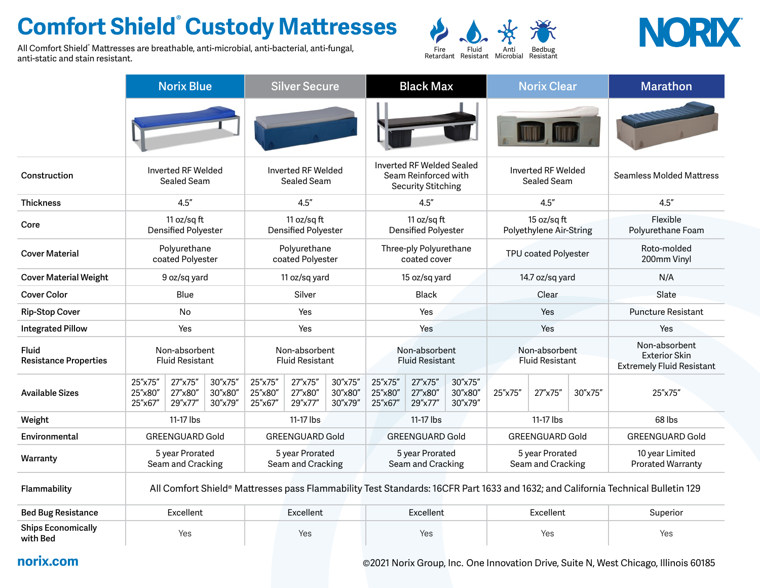## **Comfort Shield® Custody Mattresses**

All Comfort Shield® Mattresses are breathable, anti-microbial, anti-bacterial, anti-fungal, anti-static and stain resistant.





|                                              | <b>Norix Blue</b>                                                                                                                |                               | <b>Silver Secure</b>          |                                           |                               | <b>Black Max</b>              |                                                                                |                               |                               | <b>Norix Clear</b>                      |         | <b>Marathon</b> |                                                                           |  |  |
|----------------------------------------------|----------------------------------------------------------------------------------------------------------------------------------|-------------------------------|-------------------------------|-------------------------------------------|-------------------------------|-------------------------------|--------------------------------------------------------------------------------|-------------------------------|-------------------------------|-----------------------------------------|---------|-----------------|---------------------------------------------------------------------------|--|--|
|                                              |                                                                                                                                  |                               |                               |                                           |                               |                               |                                                                                |                               |                               |                                         |         |                 |                                                                           |  |  |
| Construction                                 | Inverted RF Welded<br>Sealed Seam                                                                                                |                               |                               | Inverted RF Welded<br>Sealed Seam         |                               |                               | Inverted RF Welded Sealed<br>Seam Reinforced with<br><b>Security Stitching</b> |                               |                               | Inverted RF Welded<br>Sealed Seam       |         |                 | <b>Seamless Molded Mattress</b>                                           |  |  |
| <b>Thickness</b>                             | 4.5''                                                                                                                            |                               |                               | 4.5''                                     |                               |                               | 4.5''                                                                          |                               |                               | 4.5''                                   |         |                 | 4.5''                                                                     |  |  |
| Core                                         | 11 oz/sq $ft$<br>Densified Polyester                                                                                             |                               |                               | 11 oz/sq ft<br><b>Densified Polyester</b> |                               |                               | 11 oz/sqft<br><b>Densified Polyester</b>                                       |                               |                               | 15 oz/sq ft<br>Polyethylene Air-String  |         |                 | Flexible<br>Polyurethane Foam                                             |  |  |
| <b>Cover Material</b>                        | Polyurethane<br>coated Polyester                                                                                                 |                               |                               | Polyurethane<br>coated Polyester          |                               |                               | Three-ply Polyurethane<br>coated cover                                         |                               |                               | TPU coated Polyester                    |         |                 | Roto-molded<br>200mm Vinyl                                                |  |  |
| <b>Cover Material Weight</b>                 | 9 oz/sq yard                                                                                                                     |                               |                               | 11 oz/sq yard                             |                               |                               | 15 oz/sq yard                                                                  |                               |                               | 14.7 oz/sq yard                         |         |                 | N/A                                                                       |  |  |
| <b>Cover Color</b>                           | Blue                                                                                                                             |                               |                               | Silver                                    |                               |                               | Black                                                                          |                               |                               | Clear                                   |         |                 | Slate                                                                     |  |  |
| <b>Rip-Stop Cover</b>                        | No                                                                                                                               |                               |                               | Yes                                       |                               |                               | Yes                                                                            |                               |                               | Yes                                     |         |                 | <b>Puncture Resistant</b>                                                 |  |  |
| <b>Integrated Pillow</b>                     | Yes                                                                                                                              |                               |                               | Yes                                       |                               |                               | Yes                                                                            |                               |                               | Yes                                     |         |                 | Yes                                                                       |  |  |
| <b>Fluid</b><br><b>Resistance Properties</b> | Non-absorbent<br><b>Fluid Resistant</b>                                                                                          |                               |                               | Non-absorbent<br><b>Fluid Resistant</b>   |                               |                               | Non-absorbent<br><b>Fluid Resistant</b>                                        |                               |                               | Non-absorbent<br><b>Fluid Resistant</b> |         |                 | Non-absorbent<br><b>Exterior Skin</b><br><b>Extremely Fluid Resistant</b> |  |  |
| <b>Available Sizes</b>                       | 25"x75"<br>25"x80"<br>25"x67"                                                                                                    | 27"x75"<br>27"x80"<br>29"x77" | 30"x75"<br>30"x80"<br>30"x79" | 25"x75"<br>25"x80"<br>25"x67"             | 27"x75"<br>27"x80"<br>29"x77" | 30"x75"<br>30"x80"<br>30"x79" | 25"x75"<br>25"x80"<br>25"x67"                                                  | 27"x75"<br>27"x80"<br>29"x77" | 30"x75"<br>30"x80"<br>30"x79" | 25"x75"                                 | 27"x75" | 30"x75"         | 25"x75"                                                                   |  |  |
| Weight                                       | 11-17 lbs                                                                                                                        |                               |                               | 11-17 lbs                                 |                               |                               | 11-17 lbs                                                                      |                               |                               | 11-17 lbs                               |         |                 | 68 lbs                                                                    |  |  |
| Environmental                                | <b>GREENGUARD Gold</b>                                                                                                           |                               |                               | <b>GREENGUARD Gold</b>                    |                               |                               | <b>GREENGUARD Gold</b>                                                         |                               |                               | <b>GREENGUARD Gold</b>                  |         |                 | <b>GREENGUARD Gold</b>                                                    |  |  |
| Warranty                                     | 5 year Prorated<br>Seam and Cracking                                                                                             |                               |                               | 5 year Prorated<br>Seam and Cracking      |                               |                               | 5 year Prorated<br>Seam and Cracking                                           |                               |                               | 5 year Prorated<br>Seam and Cracking    |         |                 | 10 year Limited<br><b>Prorated Warranty</b>                               |  |  |
| Flammability                                 | All Comfort Shield® Mattresses pass Flammability Test Standards: 16CFR Part 1633 and 1632; and California Technical Bulletin 129 |                               |                               |                                           |                               |                               |                                                                                |                               |                               |                                         |         |                 |                                                                           |  |  |
| <b>Bed Bug Resistance</b>                    | Excellent                                                                                                                        |                               |                               | Excellent                                 |                               |                               | Excellent                                                                      |                               |                               | Excellent                               |         |                 | Superior                                                                  |  |  |
| <b>Ships Economically</b><br>with Bed        | Yes                                                                                                                              |                               |                               | Yes                                       |                               |                               | Yes                                                                            |                               |                               | Yes                                     |         |                 | Yes                                                                       |  |  |

**with Bed** Yes Yes Yes Yes Yes

**norix.com of the COVID-MEN** @2021 Norix Group, Inc. One Innovation Drive, Suite N, West Chicago, Illinois 60185